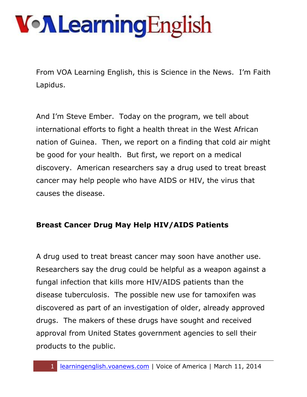From VOA Learning English, this is Science in the News. I'm Faith Lapidus.

And I'm Steve Ember. Today on the program, we tell about international efforts to fight a health threat in the West African nation of Guinea. Then, we report on a finding that cold air might be good for your health. But first, we report on a medical discovery. American researchers say a drug used to treat breast cancer may help people who have AIDS or HIV, the virus that causes the disease.

#### **Breast Cancer Drug May Help HIV/AIDS Patients**

A drug used to treat breast cancer may soon have another use. Researchers say the drug could be helpful as a weapon against a fungal infection that kills more HIV/AIDS patients than the disease tuberculosis. The possible new use for tamoxifen was discovered as part of an investigation of older, already approved drugs. The makers of these drugs have sought and received approval from United States government agencies to sell their products to the public.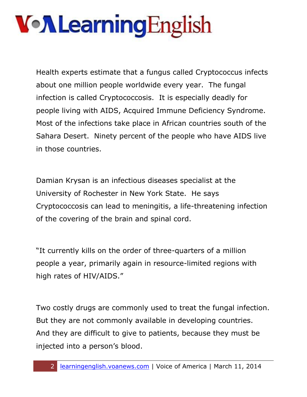Health experts estimate that a fungus called Cryptococcus infects about one million people worldwide every year. The fungal infection is called Cryptococcosis. It is especially deadly for people living with AIDS, Acquired Immune Deficiency Syndrome. Most of the infections take place in African countries south of the Sahara Desert. Ninety percent of the people who have AIDS live in those countries.

Damian Krysan is an infectious diseases specialist at the University of Rochester in New York State. He says Cryptococcosis can lead to meningitis, a life-threatening infection of the covering of the brain and spinal cord.

"It currently kills on the order of three-quarters of a million people a year, primarily again in resource-limited regions with high rates of HIV/AIDS."

Two costly drugs are commonly used to treat the fungal infection. But they are not commonly available in developing countries. And they are difficult to give to patients, because they must be injected into a person's blood.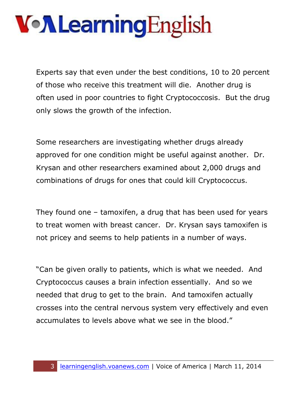Experts say that even under the best conditions, 10 to 20 percent of those who receive this treatment will die. Another drug is often used in poor countries to fight Cryptococcosis. But the drug only slows the growth of the infection.

Some researchers are investigating whether drugs already approved for one condition might be useful against another. Dr. Krysan and other researchers examined about 2,000 drugs and combinations of drugs for ones that could kill Cryptococcus.

They found one – tamoxifen, a drug that has been used for years to treat women with breast cancer. Dr. Krysan says tamoxifen is not pricey and seems to help patients in a number of ways.

"Can be given orally to patients, which is what we needed. And Cryptococcus causes a brain infection essentially. And so we needed that drug to get to the brain. And tamoxifen actually crosses into the central nervous system very effectively and even accumulates to levels above what we see in the blood."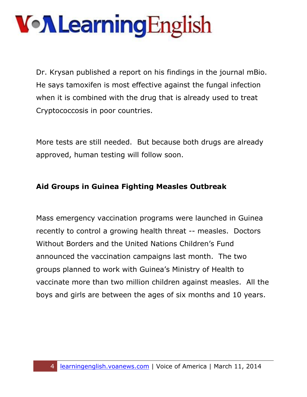# VollearningEnglish

Dr. Krysan published a report on his findings in the journal mBio. He says tamoxifen is most effective against the fungal infection when it is combined with the drug that is already used to treat Cryptococcosis in poor countries.

More tests are still needed. But because both drugs are already approved, human testing will follow soon.

#### **Aid Groups in Guinea Fighting Measles Outbreak**

Mass emergency vaccination programs were launched in Guinea recently to control a growing health threat -- measles. Doctors Without Borders and the United Nations Children's Fund announced the vaccination campaigns last month. The two groups planned to work with Guinea's Ministry of Health to vaccinate more than two million children against measles. All the boys and girls are between the ages of six months and 10 years.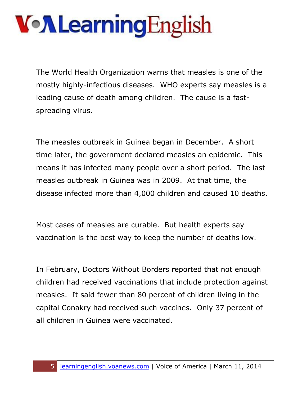The World Health Organization warns that measles is one of the mostly highly-infectious diseases. WHO experts say measles is a leading cause of death among children. The cause is a fastspreading virus.

The measles outbreak in Guinea began in December. A short time later, the government declared measles an epidemic. This means it has infected many people over a short period. The last measles outbreak in Guinea was in 2009. At that time, the disease infected more than 4,000 children and caused 10 deaths.

Most cases of measles are curable. But health experts say vaccination is the best way to keep the number of deaths low.

In February, Doctors Without Borders reported that not enough children had received vaccinations that include protection against measles. It said fewer than 80 percent of children living in the capital Conakry had received such vaccines. Only 37 percent of all children in Guinea were vaccinated.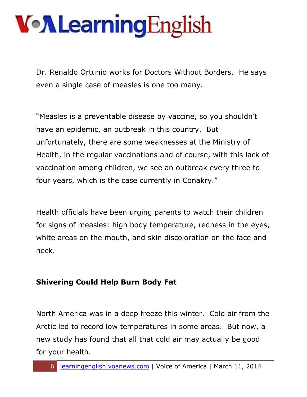Dr. Renaldo Ortunio works for Doctors Without Borders. He says even a single case of measles is one too many.

"Measles is a preventable disease by vaccine, so you shouldn't have an epidemic, an outbreak in this country. But unfortunately, there are some weaknesses at the Ministry of Health, in the regular vaccinations and of course, with this lack of vaccination among children, we see an outbreak every three to four years, which is the case currently in Conakry."

Health officials have been urging parents to watch their children for signs of measles: high body temperature, redness in the eyes, white areas on the mouth, and skin discoloration on the face and neck.

#### **Shivering Could Help Burn Body Fat**

North America was in a deep freeze this winter. Cold air from the Arctic led to record low temperatures in some areas. But now, a new study has found that all that cold air may actually be good for your health.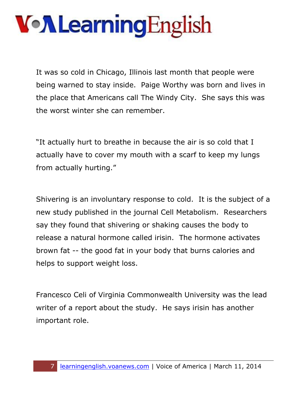It was so cold in Chicago, Illinois last month that people were being warned to stay inside. Paige Worthy was born and lives in the place that Americans call The Windy City. She says this was the worst winter she can remember.

"It actually hurt to breathe in because the air is so cold that I actually have to cover my mouth with a scarf to keep my lungs from actually hurting."

Shivering is an involuntary response to cold. It is the subject of a new study published in the journal Cell Metabolism. Researchers say they found that shivering or shaking causes the body to release a natural hormone called irisin. The hormone activates brown fat -- the good fat in your body that burns calories and helps to support weight loss.

Francesco Celi of Virginia Commonwealth University was the lead writer of a report about the study. He says irisin has another important role.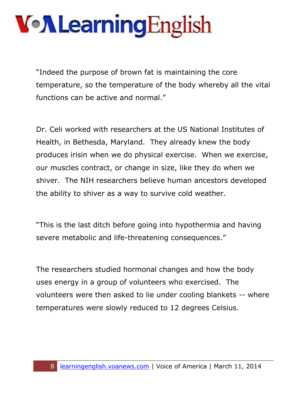"Indeed the purpose of brown fat is maintaining the core temperature, so the temperature of the body whereby all the vital functions can be active and normal."

Dr. Celi worked with researchers at the US National Institutes of Health, in Bethesda, Maryland. They already knew the body produces irisin when we do physical exercise. When we exercise, our muscles contract, or change in size, like they do when we shiver. The NIH researchers believe human ancestors developed the ability to shiver as a way to survive cold weather.

"This is the last ditch before going into hypothermia and having severe metabolic and life-threatening consequences."

The researchers studied hormonal changes and how the body uses energy in a group of volunteers who exercised. The volunteers were then asked to lie under cooling blankets -- where temperatures were slowly reduced to 12 degrees Celsius.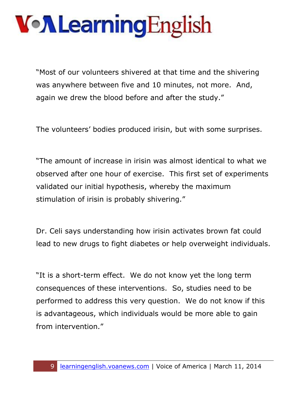"Most of our volunteers shivered at that time and the shivering was anywhere between five and 10 minutes, not more. And, again we drew the blood before and after the study."

The volunteers' bodies produced irisin, but with some surprises.

"The amount of increase in irisin was almost identical to what we observed after one hour of exercise. This first set of experiments validated our initial hypothesis, whereby the maximum stimulation of irisin is probably shivering."

Dr. Celi says understanding how irisin activates brown fat could lead to new drugs to fight diabetes or help overweight individuals.

"It is a short-term effect. We do not know yet the long term consequences of these interventions. So, studies need to be performed to address this very question. We do not know if this is advantageous, which individuals would be more able to gain from intervention."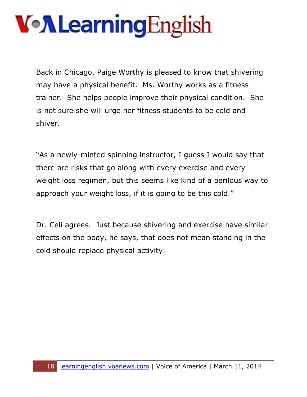Back in Chicago, Paige Worthy is pleased to know that shivering may have a physical benefit. Ms. Worthy works as a fitness trainer. She helps people improve their physical condition. She is not sure she will urge her fitness students to be cold and shiver.

"As a newly-minted spinning instructor, I guess I would say that there are risks that go along with every exercise and every weight loss regimen, but this seems like kind of a perilous way to approach your weight loss, if it is going to be this cold."

Dr. Celi agrees. Just because shivering and exercise have similar effects on the body, he says, that does not mean standing in the cold should replace physical activity.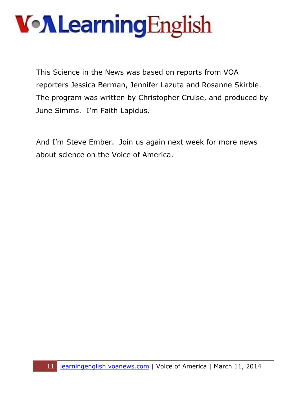This Science in the News was based on reports from VOA reporters Jessica Berman, Jennifer Lazuta and Rosanne Skirble. The program was written by Christopher Cruise, and produced by June Simms. I'm Faith Lapidus.

And I'm Steve Ember. Join us again next week for more news about science on the Voice of America.